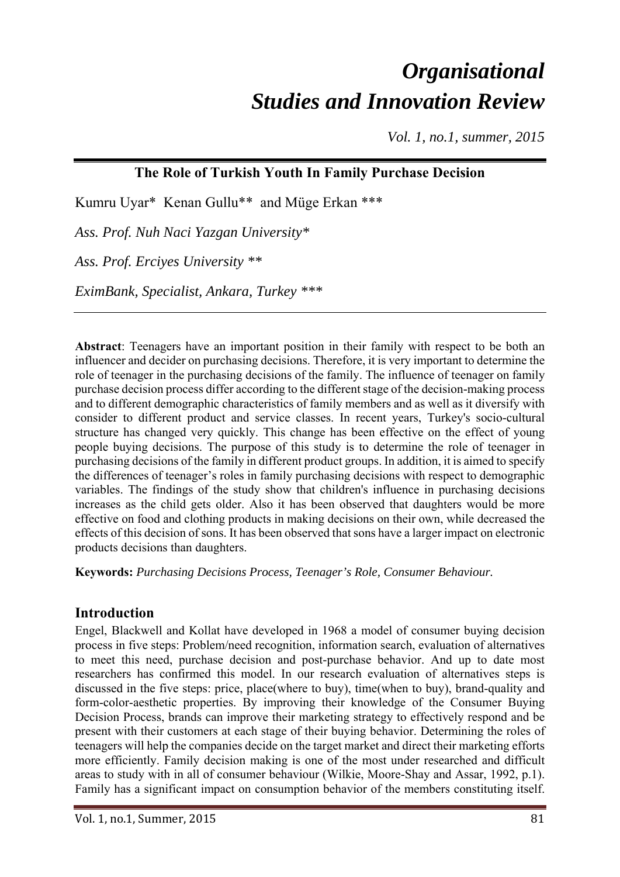# *Organisational Studies and Innovation Review*

*Vol. 1, no.1, summer, 2015* 

### **The Role of Turkish Youth In Family Purchase Decision**

Kumru Uyar\* Kenan Gullu\*\* and Müge Erkan \*\*\*

*Ass. Prof. Nuh Naci Yazgan University\** 

*Ass. Prof. Erciyes University \*\** 

*EximBank, Specialist, Ankara, Turkey \*\*\** 

**Abstract**: Teenagers have an important position in their family with respect to be both an influencer and decider on purchasing decisions. Therefore, it is very important to determine the role of teenager in the purchasing decisions of the family. The influence of teenager on family purchase decision process differ according to the different stage of the decision-making process and to different demographic characteristics of family members and as well as it diversify with consider to different product and service classes. In recent years, Turkey's socio-cultural structure has changed very quickly. This change has been effective on the effect of young people buying decisions. The purpose of this study is to determine the role of teenager in purchasing decisions of the family in different product groups. In addition, it is aimed to specify the differences of teenager's roles in family purchasing decisions with respect to demographic variables. The findings of the study show that children's influence in purchasing decisions increases as the child gets older. Also it has been observed that daughters would be more effective on food and clothing products in making decisions on their own, while decreased the effects of this decision of sons. It has been observed that sons have a larger impact on electronic products decisions than daughters.

**Keywords:** *Purchasing Decisions Process, Teenager's Role, Consumer Behaviour.* 

# **Introduction**

Engel, Blackwell and Kollat have developed in 1968 a model of consumer buying decision process in five steps: Problem/need recognition, information search, evaluation of alternatives to meet this need, purchase decision and post-purchase behavior. And up to date most researchers has confirmed this model. In our research evaluation of alternatives steps is discussed in the five steps: price, place(where to buy), time(when to buy), brand-quality and form-color-aesthetic properties. By improving their knowledge of the Consumer Buying Decision Process, brands can improve their marketing strategy to effectively respond and be present with their customers at each stage of their buying behavior. Determining the roles of teenagers will help the companies decide on the target market and direct their marketing efforts more efficiently. Family decision making is one of the most under researched and difficult areas to study with in all of consumer behaviour (Wilkie, Moore-Shay and Assar, 1992, p.1). Family has a significant impact on consumption behavior of the members constituting itself.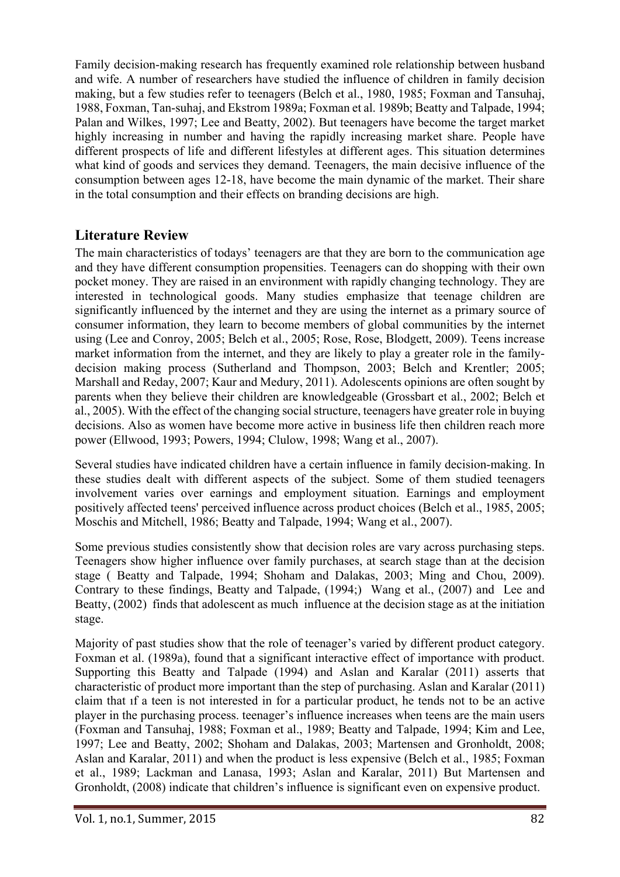Family decision-making research has frequently examined role relationship between husband and wife. A number of researchers have studied the influence of children in family decision making, but a few studies refer to teenagers (Belch et al., 1980, 1985; Foxman and Tansuhaj, 1988, Foxman, Tan-suhaj, and Ekstrom 1989a; Foxman et al. 1989b; Beatty and Talpade, 1994; Palan and Wilkes, 1997; Lee and Beatty, 2002). But teenagers have become the target market highly increasing in number and having the rapidly increasing market share. People have different prospects of life and different lifestyles at different ages. This situation determines what kind of goods and services they demand. Teenagers, the main decisive influence of the consumption between ages 12-18, have become the main dynamic of the market. Their share in the total consumption and their effects on branding decisions are high.

### **Literature Review**

The main characteristics of todays' teenagers are that they are born to the communication age and they have different consumption propensities. Teenagers can do shopping with their own pocket money. They are raised in an environment with rapidly changing technology. They are interested in technological goods. Many studies emphasize that teenage children are significantly influenced by the internet and they are using the internet as a primary source of consumer information, they learn to become members of global communities by the internet using (Lee and Conroy, 2005; Belch et al., 2005; Rose, Rose, Blodgett, 2009). Teens increase market information from the internet, and they are likely to play a greater role in the familydecision making process (Sutherland and Thompson, 2003; Belch and Krentler; 2005; Marshall and Reday, 2007; Kaur and Medury, 2011). Adolescents opinions are often sought by parents when they believe their children are knowledgeable (Grossbart et al., 2002; Belch et al., 2005). With the effect of the changing social structure, teenagers have greater role in buying decisions. Also as women have become more active in business life then children reach more power (Ellwood, 1993; Powers, 1994; Clulow, 1998; Wang et al., 2007).

Several studies have indicated children have a certain influence in family decision-making. In these studies dealt with different aspects of the subject. Some of them studied teenagers involvement varies over earnings and employment situation. Earnings and employment positively affected teens' perceived influence across product choices (Belch et al., 1985, 2005; Moschis and Mitchell, 1986; Beatty and Talpade, 1994; Wang et al., 2007).

Some previous studies consistently show that decision roles are vary across purchasing steps. Teenagers show higher influence over family purchases, at search stage than at the decision stage ( Beatty and Talpade, 1994; Shoham and Dalakas, 2003; Ming and Chou, 2009). Contrary to these findings, Beatty and Talpade, (1994;) Wang et al., (2007) and Lee and Beatty, (2002) finds that adolescent as much influence at the decision stage as at the initiation stage.

Majority of past studies show that the role of teenager's varied by different product category. Foxman et al. (1989a), found that a significant interactive effect of importance with product. Supporting this Beatty and Talpade (1994) and Aslan and Karalar (2011) asserts that characteristic of product more important than the step of purchasing. Aslan and Karalar (2011) claim that ıf a teen is not interested in for a particular product, he tends not to be an active player in the purchasing process. teenager's influence increases when teens are the main users (Foxman and Tansuhaj, 1988; Foxman et al., 1989; Beatty and Talpade, 1994; Kim and Lee, 1997; Lee and Beatty, 2002; Shoham and Dalakas, 2003; Martensen and Gronholdt, 2008; Aslan and Karalar, 2011) and when the product is less expensive (Belch et al., 1985; Foxman et al., 1989; Lackman and Lanasa, 1993; Aslan and Karalar, 2011) But Martensen and Gronholdt, (2008) indicate that children's influence is significant even on expensive product.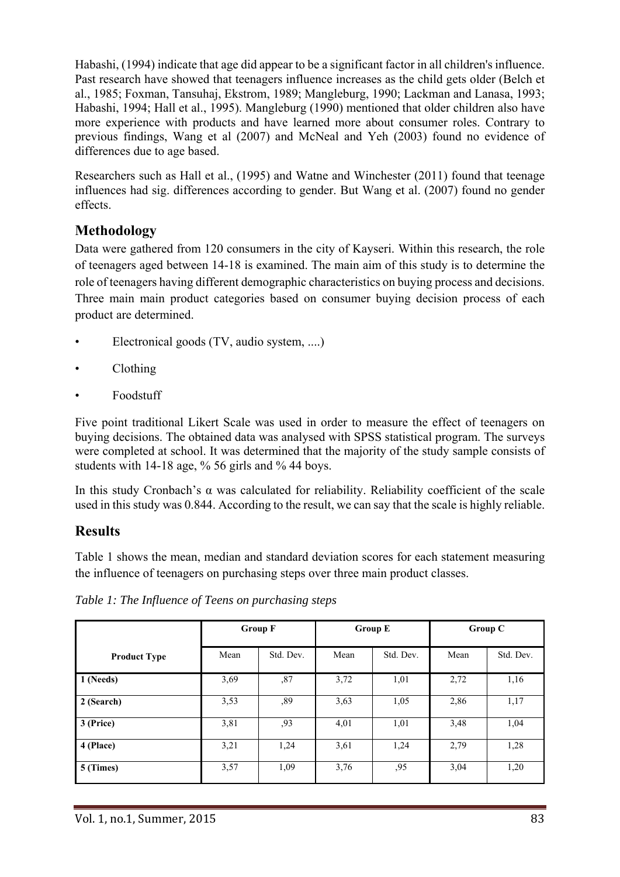Habashi, (1994) indicate that age did appear to be a significant factor in all children's influence. Past research have showed that teenagers influence increases as the child gets older (Belch et al., 1985; Foxman, Tansuhaj, Ekstrom, 1989; Mangleburg, 1990; Lackman and Lanasa, 1993; Habashi, 1994; Hall et al., 1995). Mangleburg (1990) mentioned that older children also have more experience with products and have learned more about consumer roles. Contrary to previous findings, Wang et al (2007) and McNeal and Yeh (2003) found no evidence of differences due to age based.

Researchers such as Hall et al., (1995) and Watne and Winchester (2011) found that teenage influences had sig. differences according to gender. But Wang et al. (2007) found no gender effects.

# **Methodology**

Data were gathered from 120 consumers in the city of Kayseri. Within this research, the role of teenagers aged between 14-18 is examined. The main aim of this study is to determine the role of teenagers having different demographic characteristics on buying process and decisions. Three main main product categories based on consumer buying decision process of each product are determined.

- Electronical goods (TV, audio system, ....)
- Clothing
- Foodstuff

Five point traditional Likert Scale was used in order to measure the effect of teenagers on buying decisions. The obtained data was analysed with SPSS statistical program. The surveys were completed at school. It was determined that the majority of the study sample consists of students with 14-18 age, % 56 girls and % 44 boys.

In this study Cronbach's α was calculated for reliability. Reliability coefficient of the scale used in this study was 0.844. According to the result, we can say that the scale is highly reliable.

# **Results**

Table 1 shows the mean, median and standard deviation scores for each statement measuring the influence of teenagers on purchasing steps over three main product classes.

|                     |      | <b>Group F</b> | <b>Group E</b> |           | Group C |           |
|---------------------|------|----------------|----------------|-----------|---------|-----------|
| <b>Product Type</b> | Mean | Std. Dev.      | Mean           | Std. Dev. | Mean    | Std. Dev. |
| 1 (Needs)           | 3,69 | ,87            | 3,72           | 1,01      | 2,72    | 1,16      |
| 2 (Search)          | 3,53 | ,89            | 3,63           | 1,05      | 2,86    | 1,17      |
| 3 (Price)           | 3,81 | ,93            | 4,01           | 1,01      | 3,48    | 1,04      |
| 4 (Place)           | 3,21 | 1,24           | 3,61           | 1,24      | 2,79    | 1,28      |
| 5 (Times)           | 3,57 | 1,09           | 3,76           | ,95       | 3,04    | 1,20      |

*Table 1: The Influence of Teens on purchasing steps*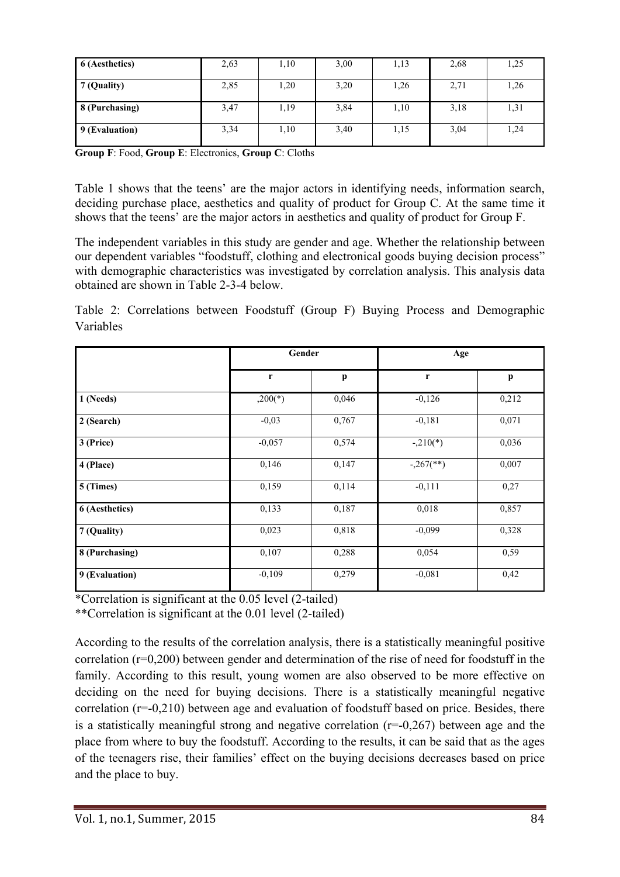| 6 (Aesthetics) | 2,63 | 1,10 | 3,00 | 1,13 | 2,68 | 1,25 |
|----------------|------|------|------|------|------|------|
| 7 (Quality)    | 2,85 | 1,20 | 3,20 | 1,26 | 2,71 | 1,26 |
| 8 (Purchasing) | 3,47 | 1,19 | 3,84 | 1,10 | 3,18 | 1,31 |
| 9 (Evaluation) | 3,34 | 1,10 | 3,40 | 1,15 | 3,04 | 1,24 |

**Group F**: Food, **Group E**: Electronics, **Group C**: Cloths

Table 1 shows that the teens' are the major actors in identifying needs, information search, deciding purchase place, aesthetics and quality of product for Group C. At the same time it shows that the teens' are the major actors in aesthetics and quality of product for Group F.

The independent variables in this study are gender and age. Whether the relationship between our dependent variables "foodstuff, clothing and electronical goods buying decision process" with demographic characteristics was investigated by correlation analysis. This analysis data obtained are shown in Table 2-3-4 below.

Table 2: Correlations between Foodstuff (Group F) Buying Process and Demographic Variables

|                | Gender    |       | Age                     |       |  |
|----------------|-----------|-------|-------------------------|-------|--|
|                | r         | p     | r                       | p     |  |
| 1 (Needs)      | $,200(*)$ | 0,046 | $-0,126$                | 0,212 |  |
| 2 (Search)     | $-0,03$   | 0,767 | $-0,181$                | 0,071 |  |
| 3 (Price)      | $-0,057$  | 0,574 | $-.210(*)$              | 0,036 |  |
| 4 (Place)      | 0,146     | 0,147 | $-.267$ <sup>**</sup> ) | 0,007 |  |
| 5 (Times)      | 0,159     | 0,114 | $-0,111$                | 0,27  |  |
| 6 (Aesthetics) | 0,133     | 0,187 | 0,018                   | 0,857 |  |
| 7 (Quality)    | 0,023     | 0,818 | $-0,099$                | 0,328 |  |
| 8 (Purchasing) | 0,107     | 0,288 | 0,054                   | 0,59  |  |
| 9 (Evaluation) | $-0,109$  | 0,279 | $-0,081$                | 0,42  |  |

\*Correlation is significant at the 0.05 level (2-tailed)

\*\*Correlation is significant at the 0.01 level (2-tailed)

According to the results of the correlation analysis, there is a statistically meaningful positive correlation (r=0,200) between gender and determination of the rise of need for foodstuff in the family. According to this result, young women are also observed to be more effective on deciding on the need for buying decisions. There is a statistically meaningful negative correlation (r=-0,210) between age and evaluation of foodstuff based on price. Besides, there is a statistically meaningful strong and negative correlation  $(r=0.267)$  between age and the place from where to buy the foodstuff. According to the results, it can be said that as the ages of the teenagers rise, their families' effect on the buying decisions decreases based on price and the place to buy.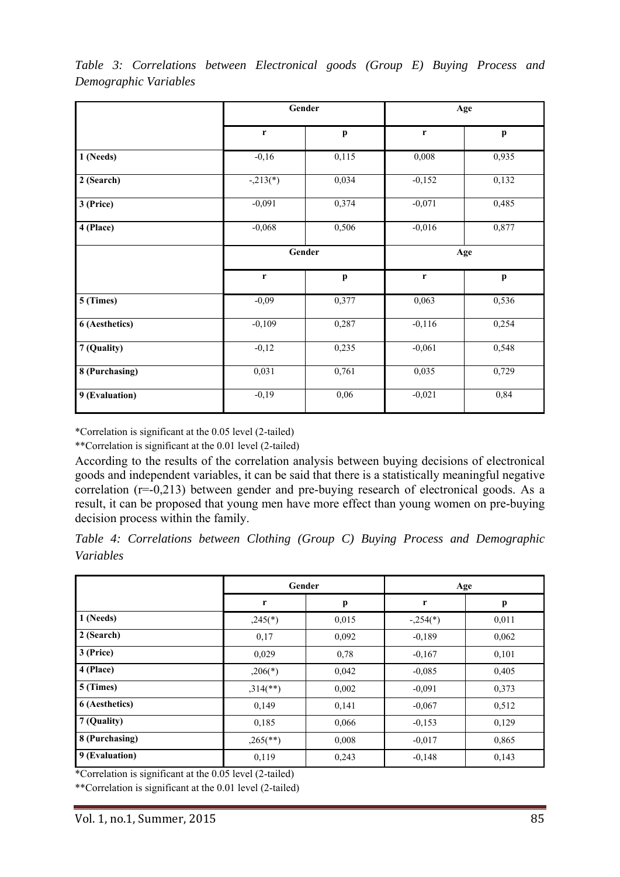|                |             | Gender                    | Age         |                           |  |
|----------------|-------------|---------------------------|-------------|---------------------------|--|
|                | $\mathbf r$ | p                         | $\mathbf r$ | $\mathbf{p}$              |  |
| 1 (Needs)      | $-0,16$     | 0,115                     | 0,008       | 0,935                     |  |
| 2 (Search)     | $-.213(*)$  | 0,034                     | $-0,152$    | 0,132                     |  |
| 3 (Price)      | $-0,091$    | 0,374                     | $-0,071$    | 0,485                     |  |
| 4 (Place)      | $-0,068$    | 0,506                     | $-0,016$    | 0,877                     |  |
|                |             | Gender                    | Age         |                           |  |
|                | $\mathbf r$ | $\boldsymbol{\mathrm{p}}$ | r           | $\boldsymbol{\mathrm{p}}$ |  |
| 5 (Times)      | $-0,09$     | 0,377                     | 0,063       | 0,536                     |  |
| 6 (Aesthetics) | $-0,109$    | 0,287                     | $-0,116$    | 0,254                     |  |
| 7 (Quality)    | $-0,12$     | 0,235                     | $-0,061$    | 0,548                     |  |
| 8 (Purchasing) | 0,031       | 0,761                     | 0,035       | 0,729                     |  |
| 9 (Evaluation) | $-0,19$     | 0,06                      | $-0,021$    | 0,84                      |  |

*Table 3: Correlations between Electronical goods (Group E) Buying Process and Demographic Variables* 

\*Correlation is significant at the 0.05 level (2-tailed)

\*\*Correlation is significant at the 0.01 level (2-tailed)

According to the results of the correlation analysis between buying decisions of electronical goods and independent variables, it can be said that there is a statistically meaningful negative correlation (r=-0,213) between gender and pre-buying research of electronical goods. As a result, it can be proposed that young men have more effect than young women on pre-buying decision process within the family.

|           |  |  |  |  | Table 4: Correlations between Clothing (Group C) Buying Process and Demographic |
|-----------|--|--|--|--|---------------------------------------------------------------------------------|
| Variables |  |  |  |  |                                                                                 |

|                |                        | Gender | Age        |       |  |
|----------------|------------------------|--------|------------|-------|--|
|                | r                      | p      | r          | p     |  |
| 1 (Needs)      | $,245(*)$              | 0,015  | $-.254(*)$ | 0,011 |  |
| 2 (Search)     | 0,17                   | 0,092  | $-0,189$   | 0,062 |  |
| 3 (Price)      | 0,029                  | 0,78   | $-0.167$   | 0,101 |  |
| 4 (Place)      | $,206(*)$              | 0,042  | $-0,085$   | 0,405 |  |
| 5 (Times)      | $,314$ <sup>**</sup> ) | 0,002  | $-0.091$   | 0,373 |  |
| 6 (Aesthetics) | 0,149                  | 0,141  | $-0.067$   | 0,512 |  |
| 7 (Quality)    | 0,185                  | 0,066  | $-0,153$   | 0,129 |  |
| 8 (Purchasing) | $,265$ <sup>**</sup> ) | 0,008  | $-0,017$   | 0,865 |  |
| 9 (Evaluation) | 0,119                  | 0,243  | $-0,148$   | 0,143 |  |

\*Correlation is significant at the 0.05 level (2-tailed)

\*\*Correlation is significant at the 0.01 level (2-tailed)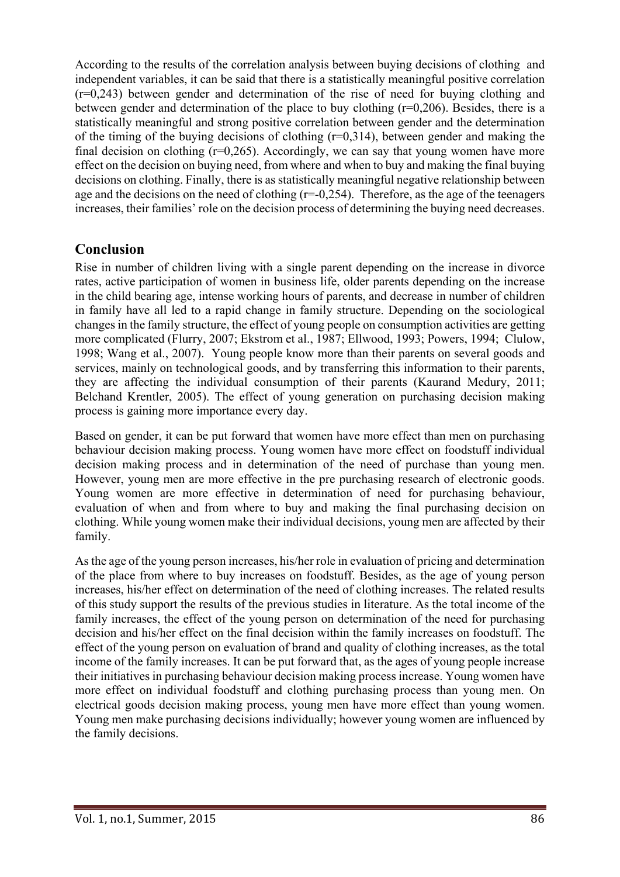According to the results of the correlation analysis between buying decisions of clothing and independent variables, it can be said that there is a statistically meaningful positive correlation (r=0,243) between gender and determination of the rise of need for buying clothing and between gender and determination of the place to buy clothing (r=0,206). Besides, there is a statistically meaningful and strong positive correlation between gender and the determination of the timing of the buying decisions of clothing  $(r=0.314)$ , between gender and making the final decision on clothing  $(r=0.265)$ . Accordingly, we can say that young women have more effect on the decision on buying need, from where and when to buy and making the final buying decisions on clothing. Finally, there is as statistically meaningful negative relationship between age and the decisions on the need of clothing  $(r=-0.254)$ . Therefore, as the age of the teenagers increases, their families' role on the decision process of determining the buying need decreases.

### **Conclusion**

Rise in number of children living with a single parent depending on the increase in divorce rates, active participation of women in business life, older parents depending on the increase in the child bearing age, intense working hours of parents, and decrease in number of children in family have all led to a rapid change in family structure. Depending on the sociological changes in the family structure, the effect of young people on consumption activities are getting more complicated (Flurry, 2007; Ekstrom et al., 1987; Ellwood, 1993; Powers, 1994; Clulow, 1998; Wang et al., 2007). Young people know more than their parents on several goods and services, mainly on technological goods, and by transferring this information to their parents, they are affecting the individual consumption of their parents (Kaurand Medury, 2011; Belchand Krentler, 2005). The effect of young generation on purchasing decision making process is gaining more importance every day.

Based on gender, it can be put forward that women have more effect than men on purchasing behaviour decision making process. Young women have more effect on foodstuff individual decision making process and in determination of the need of purchase than young men. However, young men are more effective in the pre purchasing research of electronic goods. Young women are more effective in determination of need for purchasing behaviour, evaluation of when and from where to buy and making the final purchasing decision on clothing. While young women make their individual decisions, young men are affected by their family.

As the age of the young person increases, his/her role in evaluation of pricing and determination of the place from where to buy increases on foodstuff. Besides, as the age of young person increases, his/her effect on determination of the need of clothing increases. The related results of this study support the results of the previous studies in literature. As the total income of the family increases, the effect of the young person on determination of the need for purchasing decision and his/her effect on the final decision within the family increases on foodstuff. The effect of the young person on evaluation of brand and quality of clothing increases, as the total income of the family increases. It can be put forward that, as the ages of young people increase their initiatives in purchasing behaviour decision making process increase. Young women have more effect on individual foodstuff and clothing purchasing process than young men. On electrical goods decision making process, young men have more effect than young women. Young men make purchasing decisions individually; however young women are influenced by the family decisions.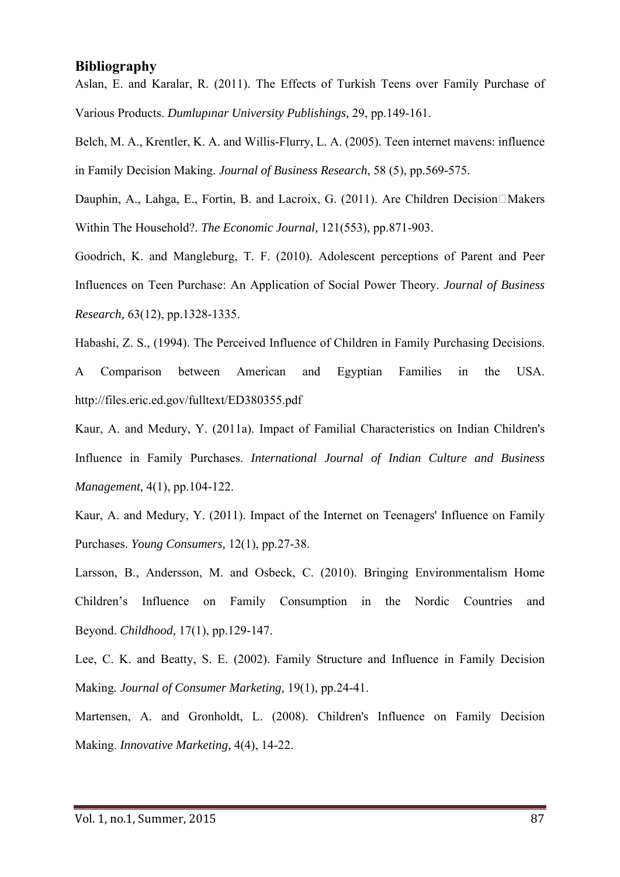#### **Bibliography**

Aslan, E. and Karalar, R. (2011). The Effects of Turkish Teens over Family Purchase of Various Products. *Dumlupınar University Publishings,* 29, pp.149-161.

Belch, M. A., Krentler, K. A. and Willis-Flurry, L. A. (2005). Teen internet mavens: influence in Family Decision Making. *Journal of Business Research*, 58 (5), pp.569-575.

Dauphin, A., Lahga, E., Fortin, B. and Lacroix, G. (2011). Are Children Decision $\Box$ Makers Within The Household?. *The Economic Journal,* 121(553), pp.871-903.

Goodrich, K. and Mangleburg, T. F. (2010). Adolescent perceptions of Parent and Peer Influences on Teen Purchase: An Application of Social Power Theory. *Journal of Business Research,* 63(12), pp.1328-1335.

Habashi, Z. S., (1994). The Perceived Influence of Children in Family Purchasing Decisions.

A Comparison between American and Egyptian Families in the USA. http://files.eric.ed.gov/fulltext/ED380355.pdf

Kaur, A. and Medury, Y. (2011a). Impact of Familial Characteristics on Indian Children's Influence in Family Purchases. *International Journal of Indian Culture and Business Management,* 4(1), pp.104-122.

Kaur, A. and Medury, Y. (2011). Impact of the Internet on Teenagers' Influence on Family Purchases. *Young Consumers,* 12(1), pp.27-38.

Larsson, B., Andersson, M. and Osbeck, C. (2010). Bringing Environmentalism Home Children's Influence on Family Consumption in the Nordic Countries and Beyond. *Childhood,* 17(1), pp.129-147.

Lee, C. K. and Beatty, S. E. (2002). Family Structure and Influence in Family Decision Making*. Journal of Consumer Marketing,* 19(1), pp.24-41.

Martensen, A. and Gronholdt, L. (2008). Children's Influence on Family Decision Making. *Innovative Marketing,* 4(4), 14-22.